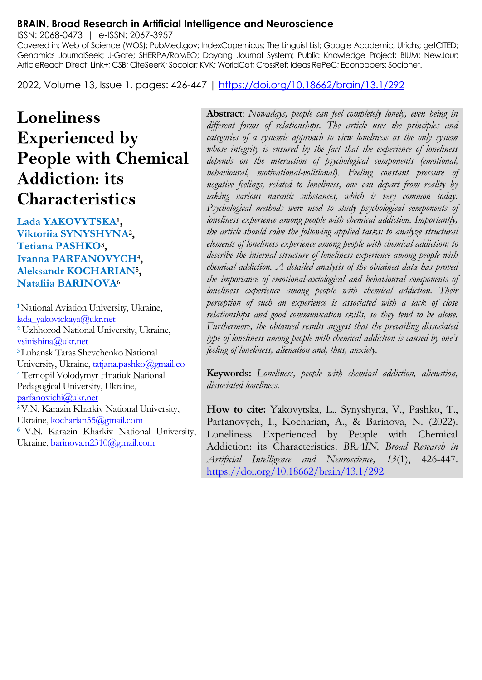#### **BRAIN. Broad Research in Artificial Intelligence and Neuroscience**

ISSN: 2068-0473 | e-ISSN: 2067-3957

Covered in: Web of Science (WOS); PubMed.gov; IndexCopernicus; The Linguist List; Google Academic; Ulrichs; getCITED; Genamics JournalSeek; J-Gate; SHERPA/RoMEO; Dayang Journal System; Public Knowledge Project; BIUM; NewJour; ArticleReach Direct; Link+; CSB; CiteSeerX; Socolar; KVK; WorldCat; CrossRef; Ideas RePeC; Econpapers; Socionet.

2022, Volume 13, Issue 1, pages: 426-447 |<https://doi.org/10.18662/brain/13.1/292>

# **Loneliness Experienced by People with Chemical Addiction: its Characteristics**

Lada YAKOVYTSKA<sup>1</sup>, **Viktoriia SYNYSHYNA<sup>2</sup> , Tetiana PASHKO<sup>3</sup> , Ivanna PARFANOVYCH<sup>4</sup> , Aleksandr KOCHARIAN<sup>5</sup> , Nataliia BARINOVA<sup>6</sup>**

**<sup>1</sup>**National Aviation University, Ukraine, [lada\\_yakovickaya@ukr.net](mailto:lada_yakovickaya@ukr.net) **<sup>2</sup>** Uzhhorod National University, Ukraine, [vsinishina@ukr.net](mailto:vsinishina@ukr.net) **<sup>3</sup>**Luhansk Taras Shevchenko National University, Ukraine[, tatjana.pashko@gmail.co](mailto:tatjana.pashko@gmail.co) **<sup>4</sup>** Ternopil Volodymyr Hnatiuk National Pedagogical University, Ukraine, [parfanovichi@ukr.net](mailto:parfanovichi@ukr.net) **<sup>5</sup>**V.N. Karazin Kharkiv National University, Ukraine[, kocharian55@gmail.com](mailto:kocharian55@gmail.com) **<sup>6</sup>**V.N. Karazin Kharkiv National University, Ukraine[, barinova.n2310@gmail.com](mailto:barinova.n2310@gmail.com)

**Abstract**: *Nowadays, people can feel completely lonely, even being in different forms of relationships. The article uses the principles and categories of a systemic approach to view loneliness as the only system whose integrity is ensured by the fact that the experience of loneliness depends on the interaction of psychological components (emotional, behavioural, motivational-volitional). Feeling constant pressure of negative feelings, related to loneliness, one can depart from reality by taking various narcotic substances, which is very common today. Psychological methods were used to study psychological components of loneliness experience among people with chemical addiction. Importantly, the article should solve the following applied tasks: to analyze structural elements of loneliness experience among people with chemical addiction; to describe the internal structure of loneliness experience among people with chemical addiction. A detailed analysis of the obtained data has proved the importance of emotional-axiological and behavioural components of loneliness experience among people with chemical addiction. Their perception of such an experience is associated with a lack of close relationships and good communication skills, so they tend to be alone. Furthermore, the obtained results suggest that the prevailing dissociated type of loneliness among people with chemical addiction is caused by one's feeling of loneliness, alienation and, thus, anxiety.*

**Keywords:** *Loneliness, people with chemical addiction, alienation, dissociated loneliness.*

**How to cite:** Yakovytska, L., Synyshyna, V., Pashko, T., Parfanovych, I., Kocharian, A., & Barinova, N. (2022). Loneliness Experienced by People with Chemical Addiction: its Characteristics. *BRAIN. Broad Research in Artificial Intelligence and Neuroscience, 13*(1), 426-447. <https://doi.org/10.18662/brain/13.1/292>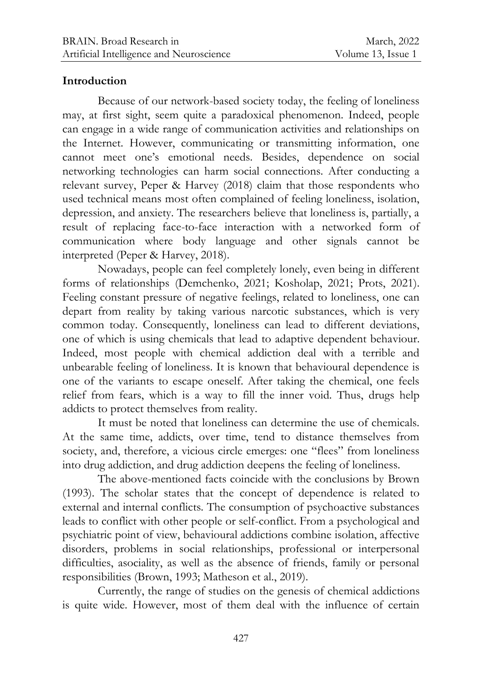## **Introduction**

Because of our network-based society today, the feeling of loneliness may, at first sight, seem quite a paradoxical phenomenon. Indeed, people can engage in a wide range of communication activities and relationships on the Internet. However, communicating or transmitting information, one cannot meet one's emotional needs. Besides, dependence on social networking technologies can harm social connections. After conducting a relevant survey, Peper & Harvey (2018) claim that those respondents who used technical means most often complained of feeling loneliness, isolation, depression, and anxiety. The researchers believe that loneliness is, partially, a result of replacing face-to-face interaction with a networked form of communication where body language and other signals cannot be interpreted (Peper & Harvey, 2018).

Nowadays, people can feel completely lonely, even being in different forms of relationships (Demchenko, 2021; Kosholap, 2021; Prots, 2021). Feeling constant pressure of negative feelings, related to loneliness, one can depart from reality by taking various narcotic substances, which is very common today. Consequently, loneliness can lead to different deviations, one of which is using chemicals that lead to adaptive dependent behaviour. Indeed, most people with chemical addiction deal with a terrible and unbearable feeling of loneliness. It is known that behavioural dependence is one of the variants to escape oneself. After taking the chemical, one feels relief from fears, which is a way to fill the inner void. Thus, drugs help addicts to protect themselves from reality.

It must be noted that loneliness can determine the use of chemicals. At the same time, addicts, over time, tend to distance themselves from society, and, therefore, a vicious circle emerges: one "flees" from loneliness into drug addiction, and drug addiction deepens the feeling of loneliness.

The above-mentioned facts coincide with the conclusions by Brown (1993). The scholar states that the concept of dependence is related to external and internal conflicts. The consumption of psychoactive substances leads to conflict with other people or self-conflict. From a psychological and psychiatric point of view, behavioural addictions combine isolation, affective disorders, problems in social relationships, professional or interpersonal difficulties, asociality, as well as the absence of friends, family or personal responsibilities (Brown, 1993; Matheson et al., 2019).

Currently, the range of studies on the genesis of chemical addictions is quite wide. However, most of them deal with the influence of certain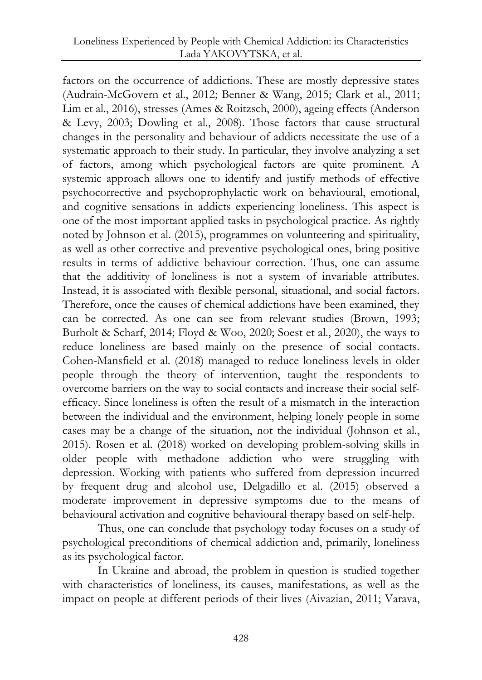factors on the occurrence of addictions. These are mostly depressive states (Audrain-McGovern et al., 2012; Benner & Wang, 2015; Clark et al., 2011; Lim et al., 2016), stresses (Ames & Roitzsch, 2000), ageing effects (Anderson & Levy, 2003; Dowling et al., 2008). Those factors that cause structural changes in the personality and behaviour of addicts necessitate the use of a systematic approach to their study. In particular, they involve analyzing a set of factors, among which psychological factors are quite prominent. A systemic approach allows one to identify and justify methods of effective psychocorrective and psychoprophylactic work on behavioural, emotional, and cognitive sensations in addicts experiencing loneliness. This aspect is one of the most important applied tasks in psychological practice. As rightly noted by Johnson et al. (2015), programmes on volunteering and spirituality, as well as other corrective and preventive psychological ones, bring positive results in terms of addictive behaviour correction. Thus, one can assume that the additivity of loneliness is not a system of invariable attributes. Instead, it is associated with flexible personal, situational, and social factors. Therefore, once the causes of chemical addictions have been examined, they can be corrected. As one can see from relevant studies (Brown, 1993; Burholt & Scharf, 2014; Floyd & Woo, 2020; Soest et al., 2020), the ways to reduce loneliness are based mainly on the presence of social contacts. Cohen-Mansfield et al. (2018) managed to reduce loneliness levels in older people through the theory of intervention, taught the respondents to overcome barriers on the way to social contacts and increase their social selfefficacy. Since loneliness is often the result of a mismatch in the interaction between the individual and the environment, helping lonely people in some cases may be a change of the situation, not the individual (Johnson et al., 2015). Rosen et al. (2018) worked on developing problem-solving skills in older people with methadone addiction who were struggling with depression. Working with patients who suffered from depression incurred by frequent drug and alcohol use, Delgadillo et al. (2015) observed a moderate improvement in depressive symptoms due to the means of behavioural activation and cognitive behavioural therapy based on self-help.

Thus, one can conclude that psychology today focuses on a study of psychological preconditions of chemical addiction and, primarily, loneliness as its psychological factor.

In Ukraine and abroad, the problem in question is studied together with characteristics of loneliness, its causes, manifestations, as well as the impact on people at different periods of their lives (Aivazian, 2011; Varava,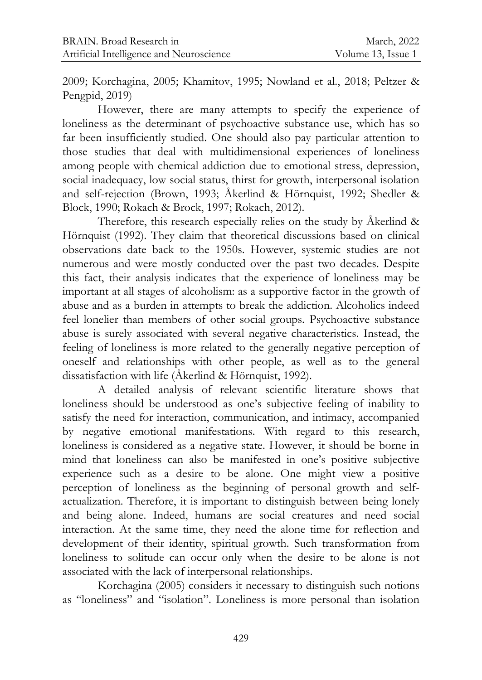2009; Korchagina, 2005; Khamitov, 1995; Nowland et al., 2018; Peltzer & Pengpid, 2019)

However, there are many attempts to specify the experience of loneliness as the determinant of psychoactive substance use, which has so far been insufficiently studied. One should also pay particular attention to those studies that deal with multidimensional experiences of loneliness among people with chemical addiction due to emotional stress, depression, social inadequacy, low social status, thirst for growth, interpersonal isolation and self-rejection (Brown, 1993; Åkerlind & Hörnquist, 1992; Shedler & Block, 1990; Rokach & Brock, 1997; Rokach, 2012).

Therefore, this research especially relies on the study by Åkerlind & Hörnquist (1992). They claim that theoretical discussions based on clinical observations date back to the 1950s. However, systemic studies are not numerous and were mostly conducted over the past two decades. Despite this fact, their analysis indicates that the experience of loneliness may be important at all stages of alcoholism: as a supportive factor in the growth of abuse and as a burden in attempts to break the addiction. Alcoholics indeed feel lonelier than members of other social groups. Psychoactive substance abuse is surely associated with several negative characteristics. Instead, the feeling of loneliness is more related to the generally negative perception of oneself and relationships with other people, as well as to the general dissatisfaction with life (Åkerlind & Hörnquist, 1992).

A detailed analysis of relevant scientific literature shows that loneliness should be understood as one's subjective feeling of inability to satisfy the need for interaction, communication, and intimacy, accompanied by negative emotional manifestations. With regard to this research, loneliness is considered as a negative state. However, it should be borne in mind that loneliness can also be manifested in one's positive subjective experience such as a desire to be alone. One might view a positive perception of loneliness as the beginning of personal growth and selfactualization. Therefore, it is important to distinguish between being lonely and being alone. Indeed, humans are social creatures and need social interaction. At the same time, they need the alone time for reflection and development of their identity, spiritual growth. Such transformation from loneliness to solitude can occur only when the desire to be alone is not associated with the lack of interpersonal relationships.

Korchagina (2005) considers it necessary to distinguish such notions as "loneliness" and "isolation". Loneliness is more personal than isolation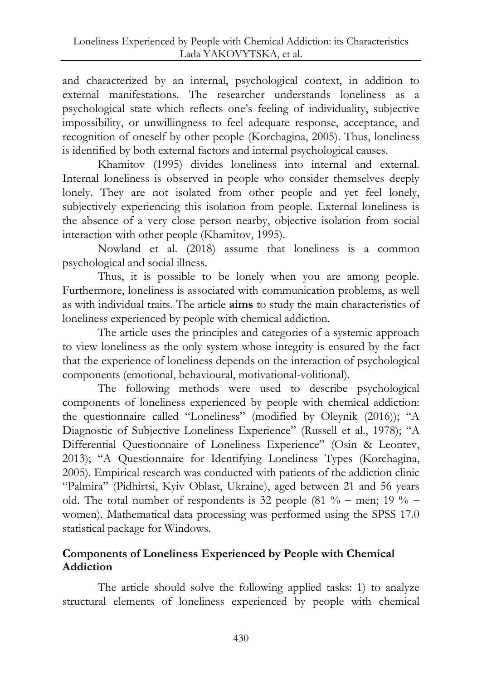and characterized by an internal, psychological context, in addition to external manifestations. The researcher understands loneliness as a psychological state which reflects one's feeling of individuality, subjective impossibility, or unwillingness to feel adequate response, acceptance, and recognition of oneself by other people (Korchagina, 2005). Thus, loneliness is identified by both external factors and internal psychological causes.

Khamitov (1995) divides loneliness into internal and external. Internal loneliness is observed in people who consider themselves deeply lonely. They are not isolated from other people and yet feel lonely, subjectively experiencing this isolation from people. External loneliness is the absence of a very close person nearby, objective isolation from social interaction with other people (Khamitov, 1995).

Nowland et al. (2018) assume that loneliness is a common psychological and social illness.

Thus, it is possible to be lonely when you are among people. Furthermore, loneliness is associated with communication problems, as well as with individual traits. The article **aims** to study the main characteristics of loneliness experienced by people with chemical addiction.

The article uses the principles and categories of a systemic approach to view loneliness as the only system whose integrity is ensured by the fact that the experience of loneliness depends on the interaction of psychological components (emotional, behavioural, motivational-volitional).

The following methods were used to describe psychological components of loneliness experienced by people with chemical addiction: the questionnaire called "Loneliness" (modified by Oleynik (2016)); "A Diagnostic of Subjective Loneliness Experience" (Russell et al., 1978); "A Differential Questionnaire of Loneliness Experience" (Osin & Leontev, 2013); "A Questionnaire for Identifying Loneliness Types (Korchagina, 2005). Empirical research was conducted with patients of the addiction clinic "Palmira" (Pidhirtsi, Kyiv Oblast, Ukraine), aged between 21 and 56 years old. The total number of respondents is 32 people (81  $\%$  – men; 19  $\%$  – women). Mathematical data processing was performed using the SPSS 17.0 statistical package for Windows.

# **Components of Loneliness Experienced by People with Chemical Addiction**

The article should solve the following applied tasks: 1) to analyze structural elements of loneliness experienced by people with chemical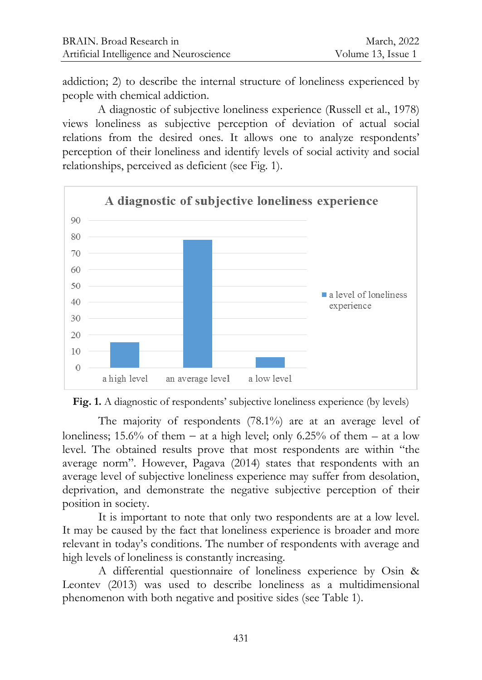addiction; 2) to describe the internal structure of loneliness experienced by people with chemical addiction.

A diagnostic of subjective loneliness experience (Russell et al., 1978) views loneliness as subjective perception of deviation of actual social relations from the desired ones. It allows one to analyze respondents' perception of their loneliness and identify levels of social activity and social relationships, perceived as deficient (see Fig. 1).





The majority of respondents (78.1%) are at an average level of loneliness; 15.6% of them – at a high level; only 6.25% of them – at a low level. The obtained results prove that most respondents are within "the average norm". However, Pagava (2014) states that respondents with an average level of subjective loneliness experience may suffer from desolation, deprivation, and demonstrate the negative subjective perception of their position in society.

It is important to note that only two respondents are at a low level. It may be caused by the fact that loneliness experience is broader and more relevant in today's conditions. The number of respondents with average and high levels of loneliness is constantly increasing.

A differential questionnaire of loneliness experience by Osin & Leontev (2013) was used to describe loneliness as a multidimensional phenomenon with both negative and positive sides (see Table 1).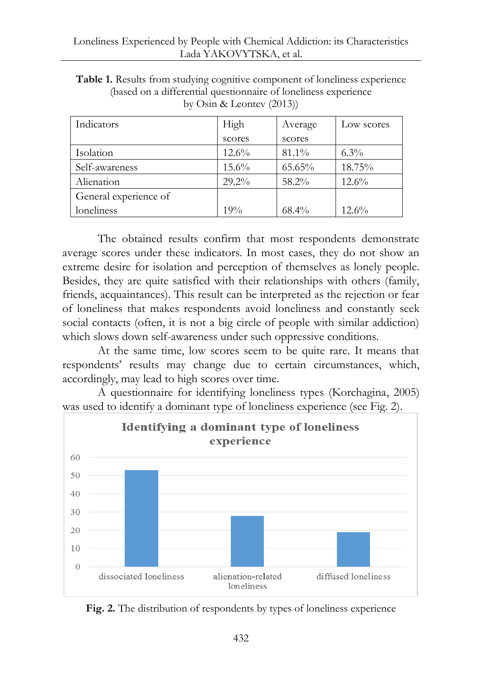| Indicators            | High     | Average  | Low scores |
|-----------------------|----------|----------|------------|
|                       | scores   | scores   |            |
| Isolation             | $12.6\%$ | $81.1\%$ | $6.3\%$    |
| Self-awareness        | $15.6\%$ | 65.65%   | 18.75%     |
| Alienation            | $29.2\%$ | 58.2%    | $12.6\%$   |
| General experience of |          |          |            |
| loneliness            | 19%      | $68.4\%$ | $12.6\%$   |

**Table 1.** Results from studying cognitive component of loneliness experience (based on a differential questionnaire of loneliness experience by Osin & Leontev (2013))

The obtained results confirm that most respondents demonstrate average scores under these indicators. In most cases, they do not show an extreme desire for isolation and perception of themselves as lonely people. Besides, they are quite satisfied with their relationships with others (family, friends, acquaintances). This result can be interpreted as the rejection or fear of loneliness that makes respondents avoid loneliness and constantly seek social contacts (often, it is not a big circle of people with similar addiction) which slows down self-awareness under such oppressive conditions.

At the same time, low scores seem to be quite rare. It means that respondents' results may change due to certain circumstances, which, accordingly, may lead to high scores over time.

A questionnaire for identifying loneliness types (Korchagina, 2005) was used to identify a dominant type of loneliness experience (see Fig. 2).



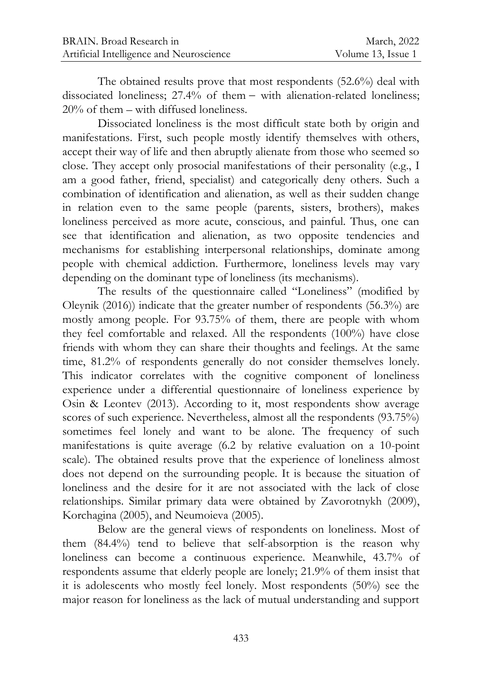The obtained results prove that most respondents (52.6%) deal with dissociated loneliness;  $27.4%$  of them  $-$  with alienation-related loneliness; 20% of them – with diffused loneliness.

Dissociated loneliness is the most difficult state both by origin and manifestations. First, such people mostly identify themselves with others, accept their way of life and then abruptly alienate from those who seemed so close. They accept only prosocial manifestations of their personality (e.g., I am a good father, friend, specialist) and categorically deny others. Such a combination of identification and alienation, as well as their sudden change in relation even to the same people (parents, sisters, brothers), makes loneliness perceived as more acute, conscious, and painful. Thus, one can see that identification and alienation, as two opposite tendencies and mechanisms for establishing interpersonal relationships, dominate among people with chemical addiction. Furthermore, loneliness levels may vary depending on the dominant type of loneliness (its mechanisms).

The results of the questionnaire called "Loneliness" (modified by Oleynik (2016)) indicate that the greater number of respondents (56.3%) are mostly among people. For 93.75% of them, there are people with whom they feel comfortable and relaxed. All the respondents (100%) have close friends with whom they can share their thoughts and feelings. At the same time, 81.2% of respondents generally do not consider themselves lonely. This indicator correlates with the cognitive component of loneliness experience under a differential questionnaire of loneliness experience by Osin & Leontev (2013). According to it, most respondents show average scores of such experience. Nevertheless, almost all the respondents (93.75%) sometimes feel lonely and want to be alone. The frequency of such manifestations is quite average (6.2 by relative evaluation on a 10-point scale). The obtained results prove that the experience of loneliness almost does not depend on the surrounding people. It is because the situation of loneliness and the desire for it are not associated with the lack of close relationships. Similar primary data were obtained by Zavorotnykh (2009), Korchagina (2005), and Neumoieva (2005).

Below are the general views of respondents on loneliness. Most of them (84.4%) tend to believe that self-absorption is the reason why loneliness can become a continuous experience. Meanwhile, 43.7% of respondents assume that elderly people are lonely; 21.9% of them insist that it is adolescents who mostly feel lonely. Most respondents (50%) see the major reason for loneliness as the lack of mutual understanding and support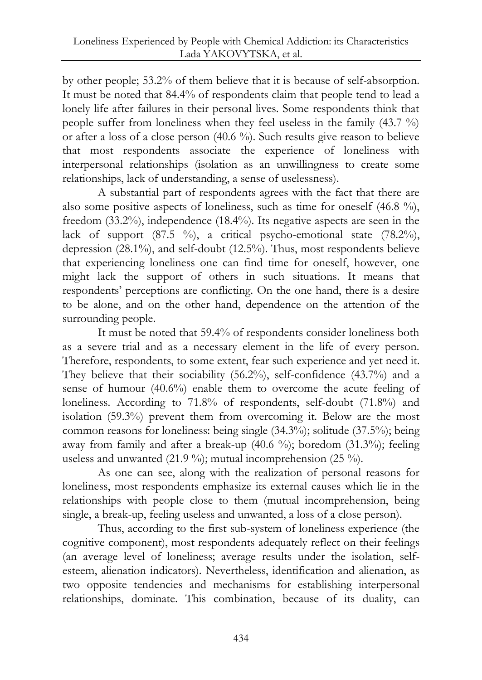by other people; 53.2% of them believe that it is because of self-absorption. It must be noted that 84.4% of respondents claim that people tend to lead a lonely life after failures in their personal lives. Some respondents think that people suffer from loneliness when they feel useless in the family (43.7 %) or after a loss of a close person (40.6 %). Such results give reason to believe that most respondents associate the experience of loneliness with interpersonal relationships (isolation as an unwillingness to create some relationships, lack of understanding, a sense of uselessness).

A substantial part of respondents agrees with the fact that there are also some positive aspects of loneliness, such as time for oneself (46.8 %), freedom (33.2%), independence (18.4%). Its negative aspects are seen in the lack of support  $(87.5 \degree\%)$ , a critical psycho-emotional state  $(78.2\%)$ , depression (28.1%), and self-doubt (12.5%). Thus, most respondents believe that experiencing loneliness one can find time for oneself, however, one might lack the support of others in such situations. It means that respondents' perceptions are conflicting. On the one hand, there is a desire to be alone, and on the other hand, dependence on the attention of the surrounding people.

It must be noted that 59.4% of respondents consider loneliness both as a severe trial and as a necessary element in the life of every person. Therefore, respondents, to some extent, fear such experience and yet need it. They believe that their sociability (56.2%), self-confidence (43.7%) and a sense of humour (40.6%) enable them to overcome the acute feeling of loneliness. According to 71.8% of respondents, self-doubt (71.8%) and isolation (59.3%) prevent them from overcoming it. Below are the most common reasons for loneliness: being single (34.3%); solitude (37.5%); being away from family and after a break-up (40.6 %); boredom (31.3%); feeling useless and unwanted (21.9 %); mutual incomprehension (25 %).

As one can see, along with the realization of personal reasons for loneliness, most respondents emphasize its external causes which lie in the relationships with people close to them (mutual incomprehension, being single, a break-up, feeling useless and unwanted, a loss of a close person).

Thus, according to the first sub-system of loneliness experience (the cognitive component), most respondents adequately reflect on their feelings (an average level of loneliness; average results under the isolation, selfesteem, alienation indicators). Nevertheless, identification and alienation, as two opposite tendencies and mechanisms for establishing interpersonal relationships, dominate. This combination, because of its duality, can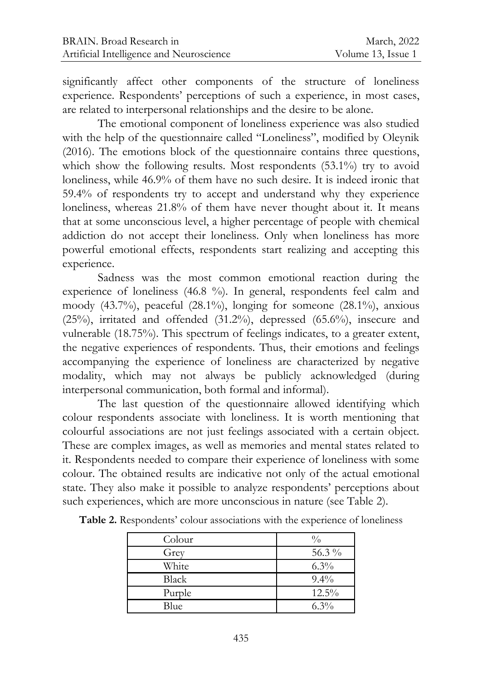significantly affect other components of the structure of loneliness experience. Respondents' perceptions of such a experience, in most cases, are related to interpersonal relationships and the desire to be alone.

The emotional component of loneliness experience was also studied with the help of the questionnaire called "Loneliness", modified by Oleynik (2016). The emotions block of the questionnaire contains three questions, which show the following results. Most respondents (53.1%) try to avoid loneliness, while 46.9% of them have no such desire. It is indeed ironic that 59.4% of respondents try to accept and understand why they experience loneliness, whereas 21.8% of them have never thought about it. It means that at some unconscious level, a higher percentage of people with chemical addiction do not accept their loneliness. Only when loneliness has more powerful emotional effects, respondents start realizing and accepting this experience.

Sadness was the most common emotional reaction during the experience of loneliness (46.8 %). In general, respondents feel calm and moody (43.7%), peaceful (28.1%), longing for someone (28.1%), anxious (25%), irritated and offended (31.2%), depressed (65.6%), insecure and vulnerable (18.75%). This spectrum of feelings indicates, to a greater extent, the negative experiences of respondents. Thus, their emotions and feelings accompanying the experience of loneliness are characterized by negative modality, which may not always be publicly acknowledged (during interpersonal communication, both formal and informal).

The last question of the questionnaire allowed identifying which colour respondents associate with loneliness. It is worth mentioning that colourful associations are not just feelings associated with a certain object. These are complex images, as well as memories and mental states related to it. Respondents needed to compare their experience of loneliness with some colour. The obtained results are indicative not only of the actual emotional state. They also make it possible to analyze respondents' perceptions about such experiences, which are more unconscious in nature (see Table 2).

| Colour | $\frac{0}{0}$ |
|--------|---------------|
| Grey   | 56.3%         |
| White  | $6.3\%$       |
| Black  | $9.4\%$       |
| Purple | $12.5\%$      |
| Blue   | $6.3\%$       |

**Table 2.** Respondents' colour associations with the experience of loneliness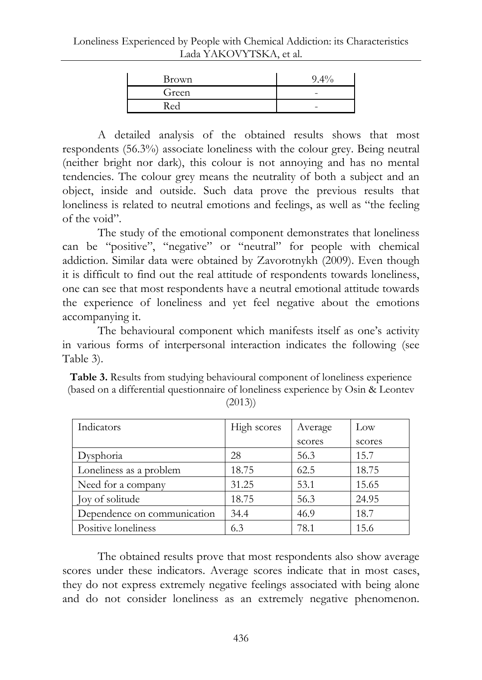| Brown | $9.4\%$ |
|-------|---------|
| Green | -       |
| Red   | -       |

A detailed analysis of the obtained results shows that most respondents (56.3%) associate loneliness with the colour grey. Being neutral (neither bright nor dark), this colour is not annoying and has no mental tendencies. The colour grey means the neutrality of both a subject and an object, inside and outside. Such data prove the previous results that loneliness is related to neutral emotions and feelings, as well as "the feeling of the void".

The study of the emotional component demonstrates that loneliness can be "positive", "negative" or "neutral" for people with chemical addiction. Similar data were obtained by Zavorotnykh (2009). Even though it is difficult to find out the real attitude of respondents towards loneliness, one can see that most respondents have a neutral emotional attitude towards the experience of loneliness and yet feel negative about the emotions accompanying it.

The behavioural component which manifests itself as one's activity in various forms of interpersonal interaction indicates the following (see Table 3).

| <b>Table 3.</b> Results from studying behavioural component of loneliness experience |
|--------------------------------------------------------------------------------------|
| (based on a differential questionnaire of loneliness experience by Osin & Leontev    |
| (2013)                                                                               |

| Indicators                  | High scores | Average | Low    |
|-----------------------------|-------------|---------|--------|
|                             |             | scores  | scores |
| Dysphoria                   | 28          | 56.3    | 15.7   |
| Loneliness as a problem     | 18.75       | 62.5    | 18.75  |
| Need for a company          | 31.25       | 53.1    | 15.65  |
| Joy of solitude             | 18.75       | 56.3    | 24.95  |
| Dependence on communication | 34.4        | 46.9    | 18.7   |
| Positive loneliness         | 6.3         | 78.1    | 15.6   |

The obtained results prove that most respondents also show average scores under these indicators. Average scores indicate that in most cases, they do not express extremely negative feelings associated with being alone and do not consider loneliness as an extremely negative phenomenon.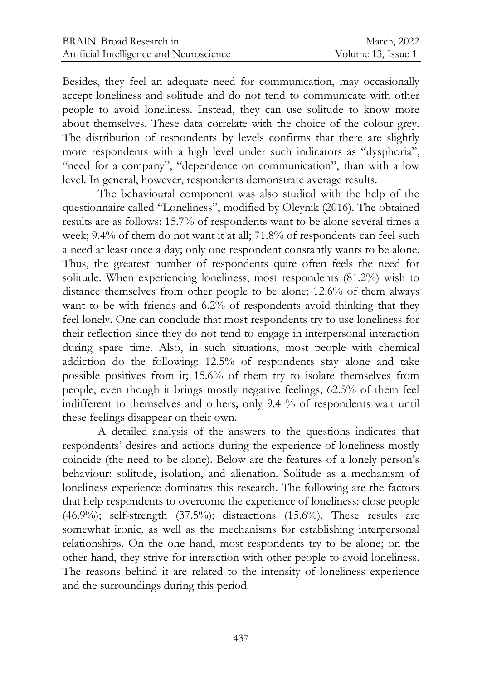Besides, they feel an adequate need for communication, may occasionally accept loneliness and solitude and do not tend to communicate with other people to avoid loneliness. Instead, they can use solitude to know more about themselves. These data correlate with the choice of the colour grey. The distribution of respondents by levels confirms that there are slightly more respondents with a high level under such indicators as "dysphoria", "need for a company", "dependence on communication", than with a low level. In general, however, respondents demonstrate average results.

The behavioural component was also studied with the help of the questionnaire called "Loneliness", modified by Oleynik (2016). The obtained results are as follows: 15.7% of respondents want to be alone several times a week; 9.4% of them do not want it at all; 71.8% of respondents can feel such a need at least once a day; only one respondent constantly wants to be alone. Thus, the greatest number of respondents quite often feels the need for solitude. When experiencing loneliness, most respondents (81.2%) wish to distance themselves from other people to be alone; 12.6% of them always want to be with friends and 6.2% of respondents avoid thinking that they feel lonely. One can conclude that most respondents try to use loneliness for their reflection since they do not tend to engage in interpersonal interaction during spare time. Also, in such situations, most people with chemical addiction do the following: 12.5% of respondents stay alone and take possible positives from it; 15.6% of them try to isolate themselves from people, even though it brings mostly negative feelings; 62.5% of them feel indifferent to themselves and others; only 9.4 % of respondents wait until these feelings disappear on their own.

A detailed analysis of the answers to the questions indicates that respondents' desires and actions during the experience of loneliness mostly coincide (the need to be alone). Below are the features of a lonely person's behaviour: solitude, isolation, and alienation. Solitude as a mechanism of loneliness experience dominates this research. The following are the factors that help respondents to overcome the experience of loneliness: close people (46.9%); self-strength (37.5%); distractions (15.6%). These results are somewhat ironic, as well as the mechanisms for establishing interpersonal relationships. On the one hand, most respondents try to be alone; on the other hand, they strive for interaction with other people to avoid loneliness. The reasons behind it are related to the intensity of loneliness experience and the surroundings during this period.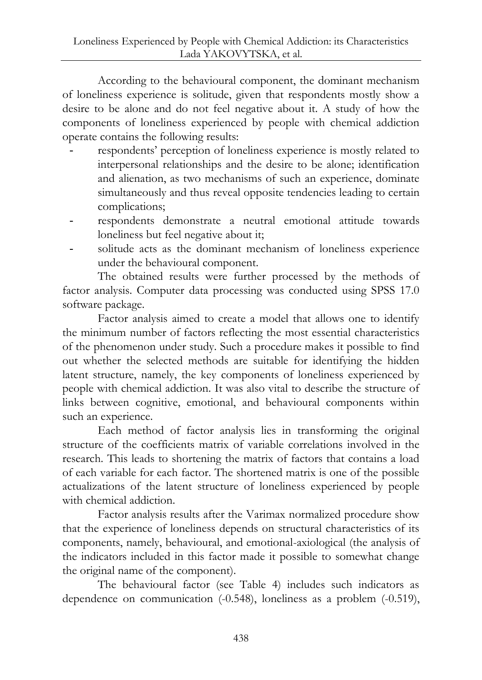According to the behavioural component, the dominant mechanism of loneliness experience is solitude, given that respondents mostly show a desire to be alone and do not feel negative about it. A study of how the components of loneliness experienced by people with chemical addiction operate contains the following results:

- respondents' perception of loneliness experience is mostly related to interpersonal relationships and the desire to be alone; identification and alienation, as two mechanisms of such an experience, dominate simultaneously and thus reveal opposite tendencies leading to certain complications;
- respondents demonstrate a neutral emotional attitude towards loneliness but feel negative about it;
- solitude acts as the dominant mechanism of loneliness experience under the behavioural component.

The obtained results were further processed by the methods of factor analysis. Computer data processing was conducted using SPSS 17.0 software package.

Factor analysis aimed to create a model that allows one to identify the minimum number of factors reflecting the most essential characteristics of the phenomenon under study. Such a procedure makes it possible to find out whether the selected methods are suitable for identifying the hidden latent structure, namely, the key components of loneliness experienced by people with chemical addiction. It was also vital to describe the structure of links between cognitive, emotional, and behavioural components within such an experience.

Each method of factor analysis lies in transforming the original structure of the coefficients matrix of variable correlations involved in the research. This leads to shortening the matrix of factors that contains a load of each variable for each factor. The shortened matrix is one of the possible actualizations of the latent structure of loneliness experienced by people with chemical addiction.

Factor analysis results after the Varimax normalized procedure show that the experience of loneliness depends on structural characteristics of its components, namely, behavioural, and emotional-axiological (the analysis of the indicators included in this factor made it possible to somewhat change the original name of the component).

The behavioural factor (see Table 4) includes such indicators as dependence on communication (-0.548), loneliness as a problem (-0.519),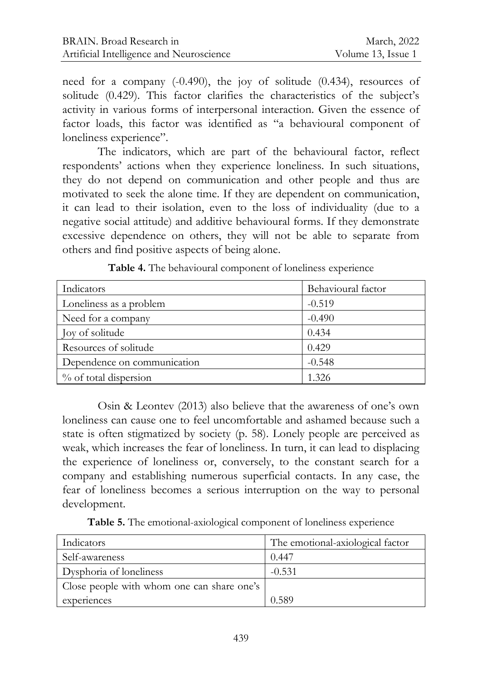need for a company (-0.490), the joy of solitude (0.434), resources of solitude (0.429). This factor clarifies the characteristics of the subject's activity in various forms of interpersonal interaction. Given the essence of factor loads, this factor was identified as "a behavioural component of loneliness experience".

The indicators, which are part of the behavioural factor, reflect respondents' actions when they experience loneliness. In such situations, they do not depend on communication and other people and thus are motivated to seek the alone time. If they are dependent on communication, it can lead to their isolation, even to the loss of individuality (due to a negative social attitude) and additive behavioural forms. If they demonstrate excessive dependence on others, they will not be able to separate from others and find positive aspects of being alone.

| Indicators                  | Behavioural factor |
|-----------------------------|--------------------|
| Loneliness as a problem     | $-0.519$           |
| Need for a company          | $-0.490$           |
| Joy of solitude             | 0.434              |
| Resources of solitude       | 0.429              |
| Dependence on communication | $-0.548$           |
| % of total dispersion       | 1.326              |

**Table 4.** The behavioural component of loneliness experience

Osin & Leontev (2013) also believe that the awareness of one's own loneliness can cause one to feel uncomfortable and ashamed because such a state is often stigmatized by society (р. 58). Lonely people are perceived as weak, which increases the fear of loneliness. In turn, it can lead to displacing the experience of loneliness or, conversely, to the constant search for a company and establishing numerous superficial contacts. In any case, the fear of loneliness becomes a serious interruption on the way to personal development.

**Table 5.** The emotional-axiological component of loneliness experience

| Indicators                                 | The emotional-axiological factor |
|--------------------------------------------|----------------------------------|
| Self-awareness                             | 0.447                            |
| Dysphoria of loneliness                    | $-0.531$                         |
| Close people with whom one can share one's |                                  |
| experiences                                | 0.589                            |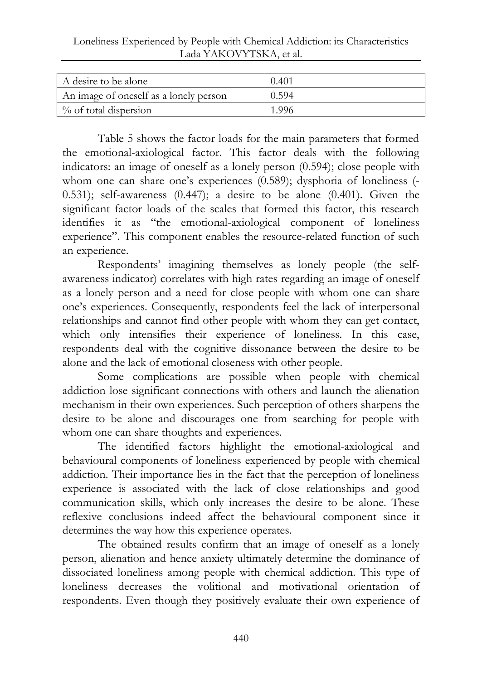Loneliness Experienced by People with Chemical Addiction: its Characteristics Lada YAKOVYTSKA, et al.

| A desire to be alone                   | 0.401 |
|----------------------------------------|-------|
| An image of oneself as a lonely person | 0.594 |
| $\%$ of total dispersion               | 1.996 |

Table 5 shows the factor loads for the main parameters that formed the emotional-axiological factor. This factor deals with the following indicators: an image of oneself as a lonely person (0.594); close people with whom one can share one's experiences (0.589); dysphoria of loneliness (- 0.531); self-awareness (0.447); a desire to be alone (0.401). Given the significant factor loads of the scales that formed this factor, this research identifies it as "the emotional-axiological component of loneliness experience". This component enables the resource-related function of such an experience.

Respondents' imagining themselves as lonely people (the selfawareness indicator) correlates with high rates regarding an image of oneself as a lonely person and a need for close people with whom one can share one's experiences. Consequently, respondents feel the lack of interpersonal relationships and cannot find other people with whom they can get contact, which only intensifies their experience of loneliness. In this case, respondents deal with the cognitive dissonance between the desire to be alone and the lack of emotional closeness with other people.

Some complications are possible when people with chemical addiction lose significant connections with others and launch the alienation mechanism in their own experiences. Such perception of others sharpens the desire to be alone and discourages one from searching for people with whom one can share thoughts and experiences.

The identified factors highlight the emotional-axiological and behavioural components of loneliness experienced by people with chemical addiction. Their importance lies in the fact that the perception of loneliness experience is associated with the lack of close relationships and good communication skills, which only increases the desire to be alone. These reflexive conclusions indeed affect the behavioural component since it determines the way how this experience operates.

The obtained results confirm that an image of oneself as a lonely person, alienation and hence anxiety ultimately determine the dominance of dissociated loneliness among people with chemical addiction. This type of loneliness decreases the volitional and motivational orientation of respondents. Even though they positively evaluate their own experience of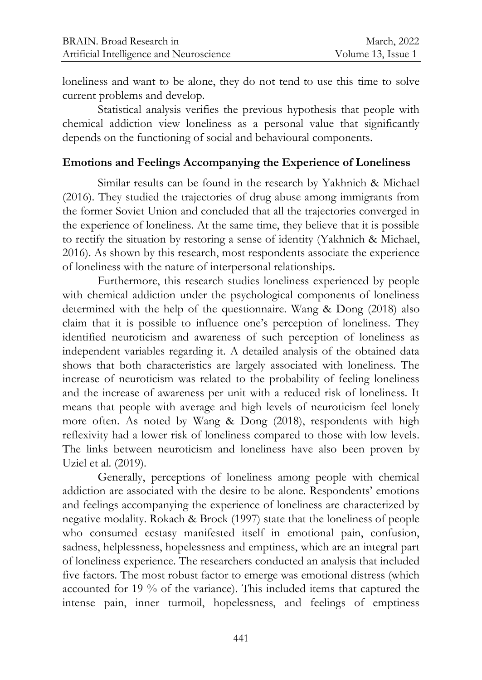loneliness and want to be alone, they do not tend to use this time to solve current problems and develop.

Statistical analysis verifies the previous hypothesis that people with chemical addiction view loneliness as a personal value that significantly depends on the functioning of social and behavioural components.

## **Emotions and Feelings Accompanying the Experience of Loneliness**

Similar results can be found in the research by Yakhnich & Michael (2016). They studied the trajectories of drug abuse among immigrants from the former Soviet Union and concluded that all the trajectories converged in the experience of loneliness. At the same time, they believe that it is possible to rectify the situation by restoring a sense of identity (Yakhnich & Michael, 2016). As shown by this research, most respondents associate the experience of loneliness with the nature of interpersonal relationships.

Furthermore, this research studies loneliness experienced by people with chemical addiction under the psychological components of loneliness determined with the help of the questionnaire. Wang & Dong (2018) also claim that it is possible to influence one's perception of loneliness. They identified neuroticism and awareness of such perception of loneliness as independent variables regarding it. A detailed analysis of the obtained data shows that both characteristics are largely associated with loneliness. The increase of neuroticism was related to the probability of feeling loneliness and the increase of awareness per unit with a reduced risk of loneliness. It means that people with average and high levels of neuroticism feel lonely more often. As noted by Wang & Dong (2018), respondents with high reflexivity had a lower risk of loneliness compared to those with low levels. The links between neuroticism and loneliness have also been proven by Uziel et al. (2019).

Generally, perceptions of loneliness among people with chemical addiction are associated with the desire to be alone. Respondents' emotions and feelings accompanying the experience of loneliness are characterized by negative modality. Rokach & Brock (1997) state that the loneliness of people who consumed ecstasy manifested itself in emotional pain, confusion, sadness, helplessness, hopelessness and emptiness, which are an integral part of loneliness experience. The researchers conducted an analysis that included five factors. The most robust factor to emerge was emotional distress (which accounted for 19 % of the variance). This included items that captured the intense pain, inner turmoil, hopelessness, and feelings of emptiness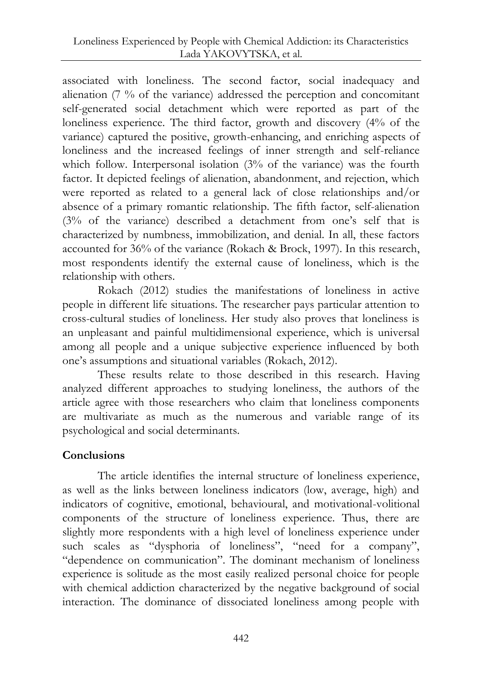associated with loneliness. The second factor, social inadequacy and alienation (7 % of the variance) addressed the perception and concomitant self-generated social detachment which were reported as part of the loneliness experience. The third factor, growth and discovery (4% of the variance) captured the positive, growth-enhancing, and enriching aspects of loneliness and the increased feelings of inner strength and self-reliance which follow. Interpersonal isolation (3% of the variance) was the fourth factor. It depicted feelings of alienation, abandonment, and rejection, which were reported as related to a general lack of close relationships and/or absence of a primary romantic relationship. The fifth factor, self-alienation (3% of the variance) described a detachment from one's self that is characterized by numbness, immobilization, and denial. In all, these factors accounted for 36% of the variance (Rokach & Brock, 1997). In this research, most respondents identify the external cause of loneliness, which is the relationship with others.

Rokach (2012) studies the manifestations of loneliness in active people in different life situations. The researcher pays particular attention to cross-cultural studies of loneliness. Her study also proves that loneliness is an unpleasant and painful multidimensional experience, which is universal among all people and a unique subjective experience influenced by both one's assumptions and situational variables (Rokach, 2012).

These results relate to those described in this research. Having analyzed different approaches to studying loneliness, the authors of the article agree with those researchers who claim that loneliness components are multivariate as much as the numerous and variable range of its psychological and social determinants.

# **Conclusions**

The article identifies the internal structure of loneliness experience, as well as the links between loneliness indicators (low, average, high) and indicators of cognitive, emotional, behavioural, and motivational-volitional components of the structure of loneliness experience. Thus, there are slightly more respondents with a high level of loneliness experience under such scales as "dysphoria of loneliness", "need for a company", "dependence on communication". The dominant mechanism of loneliness experience is solitude as the most easily realized personal choice for people with chemical addiction characterized by the negative background of social interaction. The dominance of dissociated loneliness among people with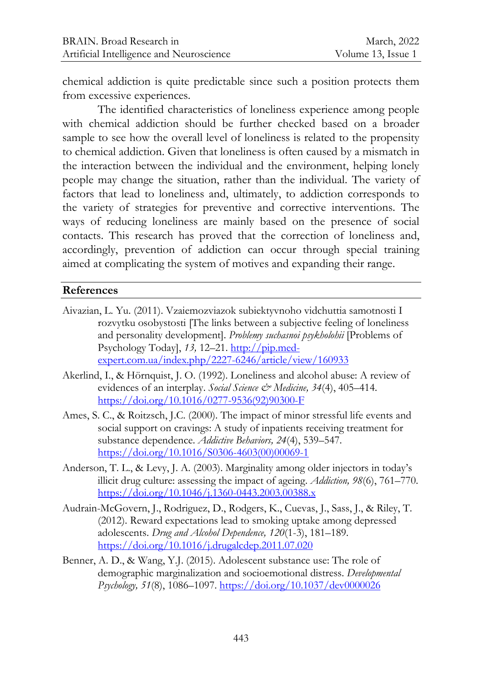chemical addiction is quite predictable since such a position protects them from excessive experiences.

The identified characteristics of loneliness experience among people with chemical addiction should be further checked based on a broader sample to see how the overall level of loneliness is related to the propensity to chemical addiction. Given that loneliness is often caused by a mismatch in the interaction between the individual and the environment, helping lonely people may change the situation, rather than the individual. The variety of factors that lead to loneliness and, ultimately, to addiction corresponds to the variety of strategies for preventive and corrective interventions. The ways of reducing loneliness are mainly based on the presence of social contacts. This research has proved that the correction of loneliness and, accordingly, prevention of addiction can occur through special training aimed at complicating the system of motives and expanding their range.

## **References**

- Aivazian, L. Yu. (2011). Vzaiemozviazok subiektyvnoho vidchuttia samotnosti I rozvytku osobystosti [The links between a subjective feeling of loneliness and personality development]. *Problemy suchasnoi psykholohii* [Problems of Psychology Today], *13,* 12–21. [http://pip.med](http://pip.med-expert.com.ua/index.php/2227-6246/article/view/160933)[expert.com.ua/index.php/2227-6246/article/view/160933](http://pip.med-expert.com.ua/index.php/2227-6246/article/view/160933)
- Akerlind, I., [& Hörnquist,](https://www.sciencedirect.com/science/article/abs/pii/027795369290300F#!) J. O. (1992). Loneliness and alcohol abuse: A review of evidences of an interplay. *[Social Science & Medicine,](https://www.sciencedirect.com/science/journal/02779536) 34*(4), 405–414. [https://doi.org/10.1016/0277-9536\(92\)90300-F](https://doi.org/10.1016/0277-9536(92)90300-F)
- Ames, S. C., & Roitzsch, J.C. (2000). The impact of minor stressful life events and social support on cravings: A study of inpatients receiving treatment for substance dependence. *Addictive Behaviors, 24*(4), 539–547. [https://doi.org/10.1016/S0306-4603\(00\)00069-1](https://doi.org/10.1016/S0306-4603(00)00069-1)
- Anderson, T. L., & Levy, J. A. (2003). Marginality among older injectors in today's illicit drug culture: assessing the impact of ageing. *Addiction, 98*(6), 761–770. <https://doi.org/10.1046/j.1360-0443.2003.00388.x>
- Audrain-McGovern, J., Rodriguez, D., Rodgers, K., Cuevas, J., Sass, J., & Riley, T. (2012). Reward expectations lead to smoking uptake among depressed adolescents. *Drug and Alcohol Dependence, 120*(1-3), 181–189. <https://doi.org/10.1016/j.drugalcdep.2011.07.020>
- Benner, A. D., & Wang, Y.J. (2015). Adolescent substance use: The role of demographic marginalization and socioemotional distress. *Developmental Psychology, 51*(8), 1086–1097[. https://doi.org/10.1037/dev0000026](https://doi.org/10.1037/dev0000026)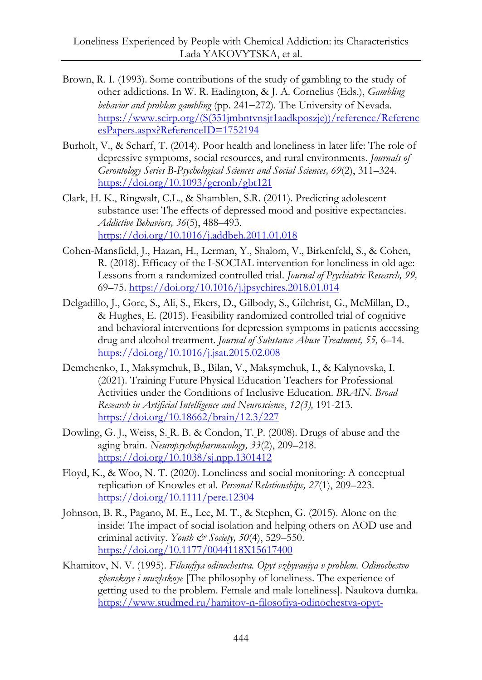- Brown, R. I. (1993). Some contributions of the study of gambling to the study of other addictions*.* In W. R. Eadington, & J. A. Cornelius (Eds.), *Gambling behavior and problem gambling (pp. 241–272)*. The University of Nevada. [https://www.scirp.org/\(S\(351jmbntvnsjt1aadkposzje\)\)/reference/Referenc](https://www.scirp.org/(S(351jmbntvnsjt1aadkposzje))/reference/ReferencesPapers.aspx?ReferenceID=1752194) [esPapers.aspx?ReferenceID=1752194](https://www.scirp.org/(S(351jmbntvnsjt1aadkposzje))/reference/ReferencesPapers.aspx?ReferenceID=1752194)
- Burholt, V., & Scharf, T. (2014). Poor health and loneliness in later life: The role of depressive symptoms, social resources, and rural environments. *Journals of Gerontology Series B-Psychological Sciences and Social Sciences, 69*(2), 311–324. <https://doi.org/10.1093/geronb/gbt121>
- Clark, H. K., Ringwalt, C.L., & Shamblen, S.R. (2011). Predicting adolescent substance use: The effects of depressed mood and positive expectancies. *Addictive Behaviors, 36*(5), 488–493. <https://doi.org/10.1016/j.addbeh.2011.01.018>
- Cohen-Mansfield, J., Hazan, H., Lerman, Y., Shalom, V., Birkenfeld, S., & Cohen, R. (2018). Efficacy of the I-SOCIAL intervention for loneliness in old age: Lessons from a randomized controlled trial. *Journal of Psychiatric Research, 99,* 69–75.<https://doi.org/10.1016/j.jpsychires.2018.01.014>
- Delgadillo, J., Gore, S., Ali, S., Ekers, D., Gilbody, S., Gilchrist, G., McMillan, D., & Hughes, E. (2015). Feasibility randomized controlled trial of cognitive and behavioral interventions for depression symptoms in patients accessing drug and alcohol treatment. *Journal of Substance Abuse Treatment, 55,* 6–14. <https://doi.org/10.1016/j.jsat.2015.02.008>
- Demchenko, I., Maksymchuk, B., Bilan, V., Maksymchuk, I., & Kalynovska, I. (2021). Training Future Physical Education Teachers for Professional Activities under the Conditions of Inclusive Education. *BRAIN. Broad Research in Artificial Intelligence and Neuroscience*, *12(3),* 191-213. <https://doi.org/10.18662/brain/12.3/227>
- Dowling, G. J., Weiss, S. R. B. & Condon, T. P. (2008). Drugs of abuse and the aging brain. *Neuropsychopharmacology, 33*(2), 209–218. <https://doi.org/10.1038/sj.npp.1301412>
- Floyd, K., & Woo, N. T. (2020). Loneliness and social monitoring: A conceptual replication of Knowles et al. *Personal Relationships, 27*(1), 209–223. <https://doi.org/10.1111/pere.12304>
- Johnson, B. R., Pagano, M. E., Lee, M. T., & Stephen, G. (2015). Alone on the inside: The impact of social isolation and helping others on AOD use and criminal activity. *Youth & Society, 50*(4), 529–550. <https://doi.org/10.1177/0044118X15617400>
- Khamitov, N. V. (1995). *Filosofiya odinochestva. Opyt vzhyvaniya v problem. Odinochestvo zhenskoye i muzhskoye* [The philosophy of loneliness. The experience of getting used to the problem. Female and male loneliness]. Naukova dumka. [https://www.studmed.ru/hamitov-n-filosofiya-odinochestva-opyt-](https://www.studmed.ru/hamitov-n-filosofiya-odinochestva-opyt-vzhivaniya-v-problemu-odinochestvo-zhenskoe-i-muzhskoe_2c2ff0aad22.html)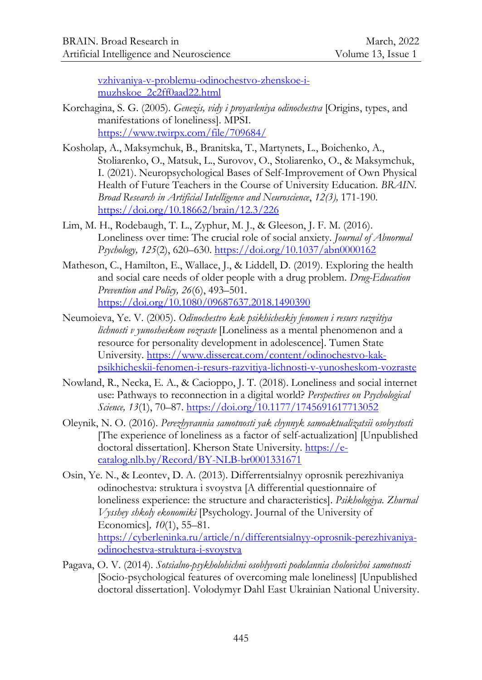[vzhivaniya-v-problemu-odinochestvo-zhenskoe-i](https://www.studmed.ru/hamitov-n-filosofiya-odinochestva-opyt-vzhivaniya-v-problemu-odinochestvo-zhenskoe-i-muzhskoe_2c2ff0aad22.html)[muzhskoe\\_2c2ff0aad22.html](https://www.studmed.ru/hamitov-n-filosofiya-odinochestva-opyt-vzhivaniya-v-problemu-odinochestvo-zhenskoe-i-muzhskoe_2c2ff0aad22.html)

- Korchagina, S. G. (2005). *Genezis, vidy i proyavleniya odinochestva* [Origins, types, and manifestations of loneliness]. MPSI. <https://www.twirpx.com/file/709684/>
- Kosholap, A., Maksymchuk, B., Branitska, T., Martynets, L., Boichenko, A., Stoliarenko, O., Matsuk, L., Surovov, O., Stoliarenko, O., & Maksymchuk, I. (2021). Neuropsychological Bases of Self-Improvement of Own Physical Health of Future Teachers in the Course of University Education. *BRAIN. Broad Research in Artificial Intelligence and Neuroscience*, *12(3),* 171-190. <https://doi.org/10.18662/brain/12.3/226>
- Lim, M. H., Rodebaugh, T. L., Zyphur, M. J., & Gleeson, J. F. M. (2016). Loneliness over time: The crucial role of social anxiety. *Journal of Abnormal Psychology, 125*(2), 620–630.<https://doi.org/10.1037/abn0000162>
- Matheson, C., Hamilton, E., Wallace, J., & Liddell, D. (2019). Exploring the health and social care needs of older people with a drug problem. *Drug-Education Prevention and Policy, 26*(6), 493–501. <https://doi.org/10.1080/09687637.2018.1490390>
- Neumoieva, Ye. V. (2005). *Odinochestvo kak psikhicheskiy fenomen i resurs razvitiya lichnosti v yunosheskom vozraste* [Loneliness as a mental phenomenon and a resource for personality development in adolescence]. Tumen State University[. https://www.dissercat.com/content/odinochestvo-kak](https://www.dissercat.com/content/odinochestvo-kak-psikhicheskii-fenomen-i-resurs-razvitiya-lichnosti-v-yunosheskom-vozraste)[psikhicheskii-fenomen-i-resurs-razvitiya-lichnosti-v-yunosheskom-vozraste](https://www.dissercat.com/content/odinochestvo-kak-psikhicheskii-fenomen-i-resurs-razvitiya-lichnosti-v-yunosheskom-vozraste)
- Nowland, R., Necka, E. A., & Cacioppo, J. T. (2018). Loneliness and social internet use: Pathways to reconnection in a digital world? *Perspectives on Psychological Science, 13*(1), 70–87.<https://doi.org/10.1177/1745691617713052>
- Oleynik, N. О. (2016). *Perezhyvannia samotnosti yak chynnyk samoaktualizatsii osobystosti* [The experience of loneliness as a factor of self-actualization] [Unpublished doctoral dissertation]. Kherson State University. [https://e](https://e-catalog.nlb.by/Record/BY-NLB-br0001331671)[catalog.nlb.by/Record/BY-NLB-br0001331671](https://e-catalog.nlb.by/Record/BY-NLB-br0001331671)
- Osin, Ye. N., & Leontev, D. A. (2013). Differrentsialnyy oprosnik perezhivaniya odinochestva: struktura i svoystva [A differential questionnaire of loneliness experience: the structure and characteristics]. *Psikhologiya. Zhurnal Vysshey shkoly ekonomiki* [Psychology. Journal of the University of Economics]*, 10*(1), 55–81. [https://cyberleninka.ru/article/n/differentsialnyy-oprosnik-perezhivaniya](https://cyberleninka.ru/article/n/differentsialnyy-oprosnik-perezhivaniya-odinochestva-struktura-i-svoystva)[odinochestva-struktura-i-svoystva](https://cyberleninka.ru/article/n/differentsialnyy-oprosnik-perezhivaniya-odinochestva-struktura-i-svoystva)
- Pagava, О. V. (2014). *Sotsialno-psykholohichni osoblyvosti podolannia cholovichoi samotnosti* [Socio-psychological features of overcoming male loneliness] [Unpublished doctoral dissertation]. Volodymyr Dahl East Ukrainian National University.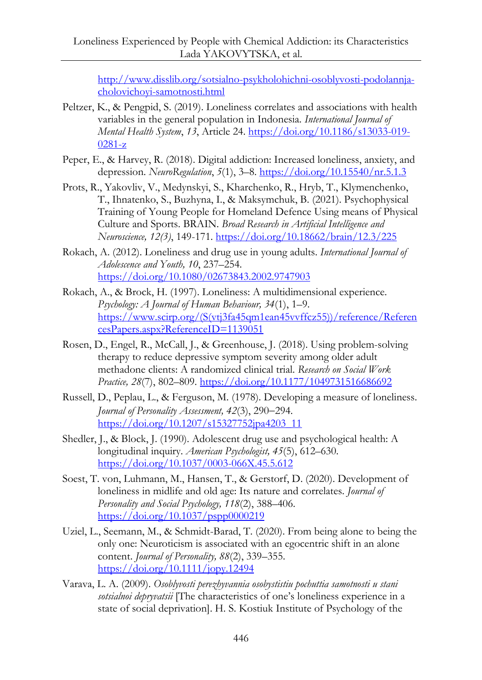[http://www.disslib.org/sotsialno-psykholohichni-osoblyvosti-podolannja](http://www.disslib.org/sotsialno-psykholohichni-osoblyvosti-podolannja-cholovichoyi-samotnosti.html)[cholovichoyi-samotnosti.html](http://www.disslib.org/sotsialno-psykholohichni-osoblyvosti-podolannja-cholovichoyi-samotnosti.html)

- Peltzer, K., & Pengpid, S. (2019). Loneliness correlates and associations with health variables in the general population in Indonesia. *International Journal of Mental Health System*, *13*, Article 24. [https://doi.org/10.1186/s13033-019-](https://doi.org/10.1186/s13033-019-0281-z) [0281-z](https://doi.org/10.1186/s13033-019-0281-z)
- Peper, E., & Harvey, R. (2018). Digital addiction: Increased loneliness, anxiety, and depression. *NeuroRegulation*, *5*(1), 3–8.<https://doi.org/10.15540/nr.5.1.3>
- Prots, R., Yakovliv, V., Medynskyi, S., Kharchenko, R., Hryb, T., Klymenchenko, T., Ihnatenko, S., Buzhyna, I., & Maksymchuk, B. (2021). Psychophysical Training of Young People for Homeland Defence Using means of Physical Culture and Sports. BRAIN. *Broad Research in Artificial Intelligence and Neuroscience, 12(3)*, 149-171[. https://doi.org/10.18662/brain/12.3/225](https://doi.org/10.18662/brain/12.3/225)
- Rokach, A. (2012). Loneliness and drug use in young adults. *International Journal of Adolescence and Youth, 10*, 237–254. <https://doi.org/10.1080/02673843.2002.9747903>
- Rokach, A., & Brock, H. (1997). Loneliness: A multidimensional experience. *Psychology: A Journal of Human Behaviour, 34*(1), 1–9. [https://www.scirp.org/\(S\(vtj3fa45qm1ean45vvffcz55\)\)/reference/Referen](https://www.scirp.org/(S(vtj3fa45qm1ean45vvffcz55))/reference/ReferencesPapers.aspx?ReferenceID=1139051) [cesPapers.aspx?ReferenceID=1139051](https://www.scirp.org/(S(vtj3fa45qm1ean45vvffcz55))/reference/ReferencesPapers.aspx?ReferenceID=1139051)
- Rosen, D., Engel, R., McCall, J., & Greenhouse, J. (2018). Using problem-solving therapy to reduce depressive symptom severity among older adult methadone clients: A randomized clinical trial. *Research on Social Work Practice, 28*(7), 802–809[. https://doi.org/10.1177/1049731516686692](https://doi.org/10.1177/1049731516686692)
- Russell, D., Peplau, L., & Ferguson, M. (1978). Developing a measure of loneliness. *Journal of Personality Assessment,* 42(3), 290-294. [https://doi.org/10.1207/s15327752jpa4203\\_11](https://doi.org/10.1207/s15327752jpa4203_11)
- Shedler, J., & Block, J. (1990). Adolescent drug use and psychological health: A longitudinal inquiry. *American Psychologist, 45*(5), 612–630. <https://doi.org/10.1037/0003-066X.45.5.612>
- Soest, T. von, Luhmann, M., Hansen, T., & Gerstorf, D. (2020). Development of loneliness in midlife and old age: Its nature and correlates. *Journal of Personality and Social Psychology, 118*(2), 388–406. <https://doi.org/10.1037/pspp0000219>
- Uziel, L., Seemann, M., & Schmidt-Barad, T. (2020). From being alone to being the only one: Neuroticism is associated with an egocentric shift in an alone content. *Journal of Personality, 88*(2), 339–355. <https://doi.org/10.1111/jopy.12494>
- Varava, L. А. (2009). *Osoblyvosti perezhyvannia osobystistiu pochuttia samotnosti u stani sotsialnoi depryvatsii* [The characteristics of one's loneliness experience in a state of social deprivation]. H. S. Kostiuk Institute of Psychology of the